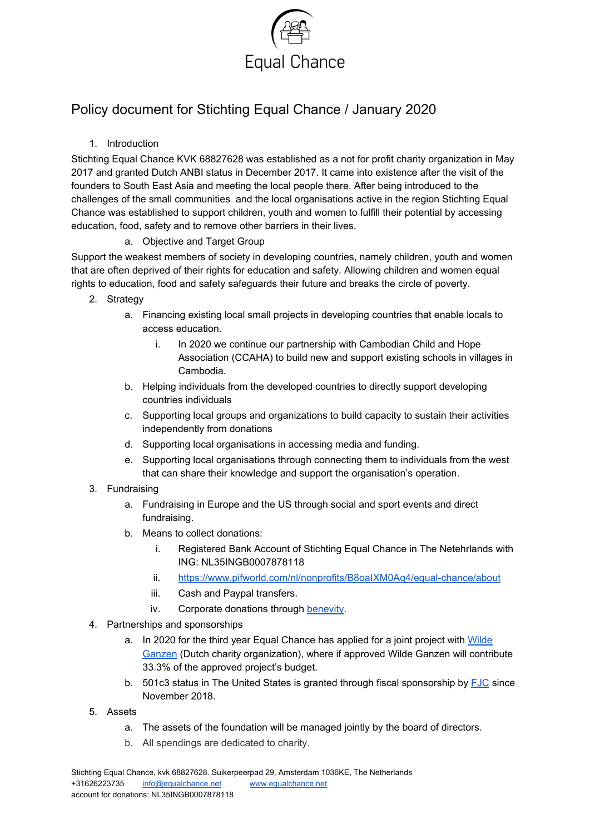

## Policy document for Stichting Equal Chance / January 2020

### 1. Introduction

Stichting Equal Chance KVK 68827628 was established as a not for profit charity organization in May 2017 and granted Dutch ANBI status in December 2017. It came into existence after the visit of the founders to South East Asia and meeting the local people there. After being introduced to the challenges of the small communities and the local organisations active in the region Stichting Equal Chance was established to support children, youth and women to fulfill their potential by accessing education, food, safety and to remove other barriers in their lives.

#### a. Objective and Target Group

Support the weakest members of society in developing countries, namely children, youth and women that are often deprived of their rights for education and safety. Allowing children and women equal rights to education, food and safety safeguards their future and breaks the circle of poverty.

- 2. Strategy
	- a. Financing existing local small projects in developing countries that enable locals to access education.
		- i. In 2020 we continue our partnership with Cambodian Child and Hope Association (CCAHA) to build new and support existing schools in villages in Cambodia.
	- b. Helping individuals from the developed countries to directly support developing countries individuals
	- c. Supporting local groups and organizations to build capacity to sustain their activities independently from donations
	- d. Supporting local organisations in accessing media and funding.
	- e. Supporting local organisations through connecting them to individuals from the west that can share their knowledge and support the organisation's operation.
- 3. Fundraising
	- a. Fundraising in Europe and the US through social and sport events and direct fundraising.
	- b. Means to collect donations:
		- i. Registered Bank Account of Stichting Equal Chance in The Netehrlands with ING: NL35INGB0007878118
		- ii. <https://www.pifworld.com/nl/nonprofits/B8oaIXM0Aq4/equal-chance/about>
		- iii. Cash and Paypal transfers.
		- iv. Corporate donations through [benevity.](https://www.benevity.com/)
- 4. Partnerships and sponsorships
	- a. In 2020 for the third year Equal Chance has applied for a joint project with [Wilde](https://www.wildeganzen.nl/about-wilde-ganzen) [Ganzen](https://www.wildeganzen.nl/about-wilde-ganzen) (Dutch charity organization), where if approved Wilde Ganzen will contribute 33.3% of the approved project's budget.
	- b. 501c3 status in The United States is granted through fiscal sponsorship by  $FJC$  since November 2018.
- 5. Assets
	- a. The assets of the foundation will be managed jointly by the board of directors.
	- b. All spendings are dedicated to charity.